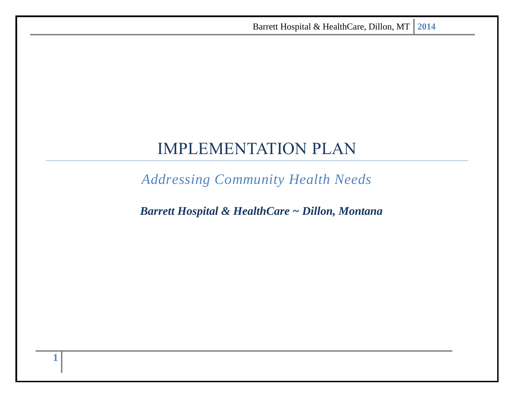# IMPLEMENTATION PLAN

*Addressing Community Health Needs*

*Barrett Hospital & HealthCare ~ Dillon, Montana*

**1**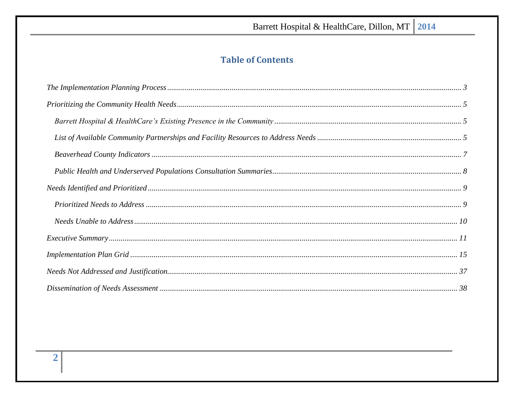# **Table of Contents**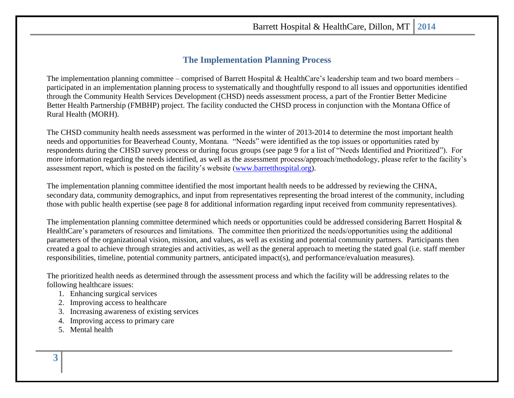### **The Implementation Planning Process**

<span id="page-2-0"></span>The implementation planning committee – comprised of Barrett Hospital & HealthCare's leadership team and two board members – participated in an implementation planning process to systematically and thoughtfully respond to all issues and opportunities identified through the Community Health Services Development (CHSD) needs assessment process, a part of the Frontier Better Medicine Better Health Partnership (FMBHP) project. The facility conducted the CHSD process in conjunction with the Montana Office of Rural Health (MORH).

The CHSD community health needs assessment was performed in the winter of 2013-2014 to determine the most important health needs and opportunities for Beaverhead County, Montana. "Needs" were identified as the top issues or opportunities rated by respondents during the CHSD survey process or during focus groups (see page 9 for a list of "Needs Identified and Prioritized"). For more information regarding the needs identified, as well as the assessment process/approach/methodology, please refer to the facility's assessment report, which is posted on the facility's website [\(www.barretthospital.org\)](http://www.barretthospital.org/).

The implementation planning committee identified the most important health needs to be addressed by reviewing the CHNA, secondary data, community demographics, and input from representatives representing the broad interest of the community, including those with public health expertise (see page 8 for additional information regarding input received from community representatives).

The implementation planning committee determined which needs or opportunities could be addressed considering Barrett Hospital & HealthCare's parameters of resources and limitations. The committee then prioritized the needs/opportunities using the additional parameters of the organizational vision, mission, and values, as well as existing and potential community partners. Participants then created a goal to achieve through strategies and activities, as well as the general approach to meeting the stated goal (i.e. staff member responsibilities, timeline, potential community partners, anticipated impact(s), and performance/evaluation measures).

The prioritized health needs as determined through the assessment process and which the facility will be addressing relates to the following healthcare issues:

- 1. Enhancing surgical services
- 2. Improving access to healthcare
- 3. Increasing awareness of existing services
- 4. Improving access to primary care
- 5. Mental health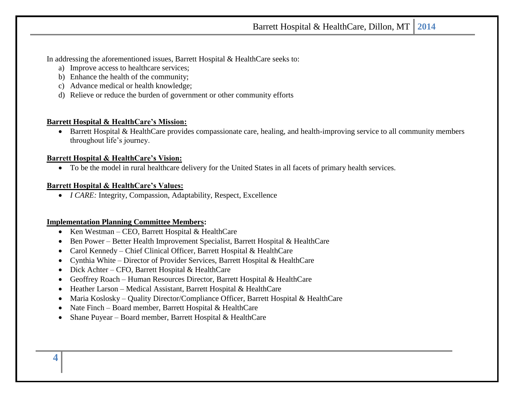In addressing the aforementioned issues, Barrett Hospital & HealthCare seeks to:

- a) Improve access to healthcare services;
- b) Enhance the health of the community;
- c) Advance medical or health knowledge;
- d) Relieve or reduce the burden of government or other community efforts

### **Barrett Hospital & HealthCare's Mission:**

• Barrett Hospital & HealthCare provides compassionate care, healing, and health-improving service to all community members throughout life's journey.

### **Barrett Hospital & HealthCare's Vision:**

• To be the model in rural healthcare delivery for the United States in all facets of primary health services.

### **Barrett Hospital & HealthCare's Values:**

• *I CARE:* Integrity, Compassion, Adaptability, Respect, Excellence

### **Implementation Planning Committee Members:**

- Ken Westman CEO, Barrett Hospital & HealthCare
- Ben Power Better Health Improvement Specialist, Barrett Hospital & HealthCare
- Carol Kennedy Chief Clinical Officer, Barrett Hospital & HealthCare
- Cynthia White Director of Provider Services, Barrett Hospital & HealthCare
- Dick Achter CFO, Barrett Hospital & HealthCare
- Geoffrey Roach Human Resources Director, Barrett Hospital & HealthCare
- Heather Larson Medical Assistant, Barrett Hospital & HealthCare
- Maria Koslosky Quality Director/Compliance Officer, Barrett Hospital & HealthCare
- Nate Finch Board member, Barrett Hospital & HealthCare
- Shane Puyear Board member, Barrett Hospital & HealthCare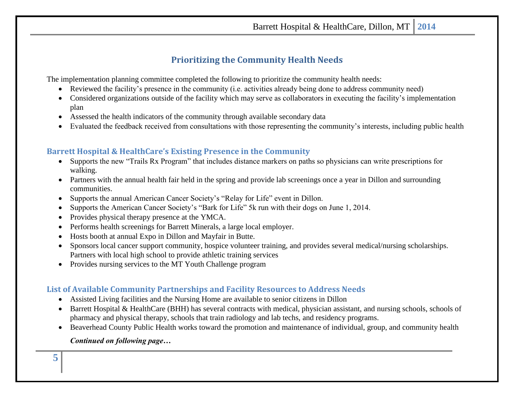## **Prioritizing the Community Health Needs**

<span id="page-4-0"></span>The implementation planning committee completed the following to prioritize the community health needs:

- Reviewed the facility's presence in the community (i.e. activities already being done to address community need)
- Considered organizations outside of the facility which may serve as collaborators in executing the facility's implementation plan
- Assessed the health indicators of the community through available secondary data
- Evaluated the feedback received from consultations with those representing the community's interests, including public health

### <span id="page-4-1"></span>**Barrett Hospital & HealthCare's Existing Presence in the Community**

- Supports the new "Trails Rx Program" that includes distance markers on paths so physicians can write prescriptions for walking.
- Partners with the annual health fair held in the spring and provide lab screenings once a year in Dillon and surrounding communities.
- Supports the annual American Cancer Society's "Relay for Life" event in Dillon.
- Supports the American Cancer Society's "Bark for Life" 5k run with their dogs on June 1, 2014.
- Provides physical therapy presence at the YMCA.
- Performs health screenings for Barrett Minerals, a large local employer.
- Hosts booth at annual Expo in Dillon and Mayfair in Butte.
- Sponsors local cancer support community, hospice volunteer training, and provides several medical/nursing scholarships. Partners with local high school to provide athletic training services
- Provides nursing services to the MT Youth Challenge program

### <span id="page-4-2"></span>**List of Available Community Partnerships and Facility Resources to Address Needs**

- Assisted Living facilities and the Nursing Home are available to senior citizens in Dillon
- Barrett Hospital & HealthCare (BHH) has several contracts with medical, physician assistant, and nursing schools, schools of pharmacy and physical therapy, schools that train radiology and lab techs, and residency programs.
- Beaverhead County Public Health works toward the promotion and maintenance of individual, group, and community health

### *Continued on following page…*

**5**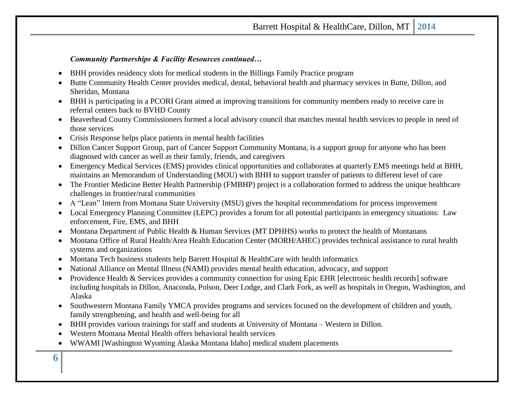#### *Community Partnerships & Facility Resources continued…*

- BHH provides residency slots for medical students in the Billings Family Practice program
- Butte Community Health Center provides medical, dental, behavioral health and pharmacy services in Butte, Dillon, and Sheridan, Montana
- BHH is participating in a PCORI Grant aimed at improving transitions for community members ready to receive care in referral centers back to BVHD County
- Beaverhead County Commissioners formed a local advisory council that matches mental health services to people in need of those services
- Crisis Response helps place patients in mental health facilities
- Dillon Cancer Support Group, part of Cancer Support Community Montana, is a support group for anyone who has been diagnosed with cancer as well as their family, friends, and caregivers
- Emergency Medical Services (EMS) provides clinical opportunities and collaborates at quarterly EMS meetings held at BHH, maintains an Memorandum of Understanding (MOU) with BHH to support transfer of patients to different level of care
- The Frontier Medicine Better Health Partnership (FMBHP) project is a collaboration formed to address the unique healthcare challenges in frontier/rural communities
- A "Lean" Intern from Montana State University (MSU) gives the hospital recommendations for process improvement
- Local Emergency Planning Committee (LEPC) provides a forum for all potential participants in emergency situations: Law enforcement, Fire, EMS, and BHH
- Montana Department of Public Health & Human Services (MT DPHHS) works to protect the health of Montanans
- Montana Office of Rural Health/Area Health Education Center (MORH/AHEC) provides technical assistance to rural health systems and organizations
- Montana Tech business students help Barrett Hospital & HealthCare with health informatics
- National Alliance on Mental Illness (NAMI) provides mental health education, advocacy, and support
- Providence Health & Services provides a community connection for using Epic EHR [electronic health records] software including hospitals in Dillon, Anaconda, Polson, Deer Lodge, and Clark Fork, as well as hospitals in Oregon, Washington, and Alaska
- Southwestern Montana Family YMCA provides programs and services focused on the development of children and youth, family strengthening, and health and well-being for all
- BHH provides various trainings for staff and students at University of Montana Western in Dillon.
- Western Montana Mental Health offers behavioral health services
- WWAMI [Washington Wyoming Alaska Montana Idaho] medical student placements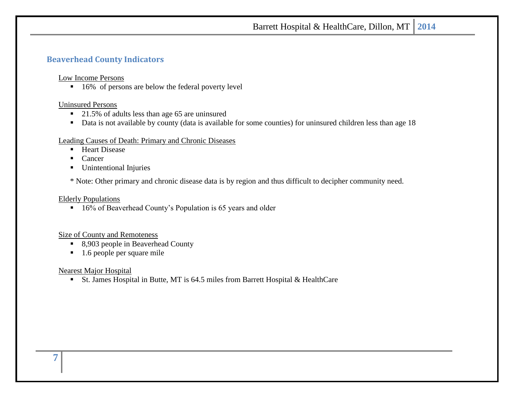### <span id="page-6-0"></span>**Beaverhead County Indicators**

Low Income Persons

■ 16% of persons are below the federal poverty level

#### Uninsured Persons

- 21.5% of adults less than age 65 are uninsured
- Data is not available by county (data is available for some counties) for uninsured children less than age 18

#### Leading Causes of Death: Primary and Chronic Diseases

- Heart Disease
- Cancer
- Unintentional Injuries

\* Note: Other primary and chronic disease data is by region and thus difficult to decipher community need.

#### Elderly Populations

■ 16% of Beaverhead County's Population is 65 years and older

#### Size of County and Remoteness

- 8,903 people in Beaverhead County
- 1.6 people per square mile

Nearest Major Hospital

■ St. James Hospital in Butte, MT is 64.5 miles from Barrett Hospital & HealthCare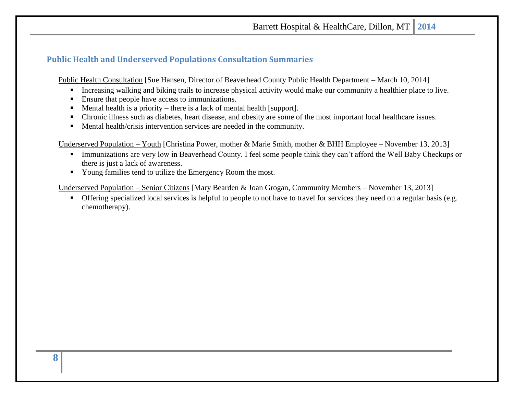### <span id="page-7-0"></span>**Public Health and Underserved Populations Consultation Summaries**

Public Health Consultation [Sue Hansen, Director of Beaverhead County Public Health Department – March 10, 2014]

- **•** Increasing walking and biking trails to increase physical activity would make our community a healthier place to live.
- Ensure that people have access to immunizations.
- Mental health is a priority there is a lack of mental health [support].
- Chronic illness such as diabetes, heart disease, and obesity are some of the most important local healthcare issues.
- Mental health/crisis intervention services are needed in the community.

Underserved Population – Youth [Christina Power, mother & Marie Smith, mother & BHH Employee – November 13, 2013]

- **Example 1** Immunizations are very low in Beaverhead County. I feel some people think they can't afford the Well Baby Checkups or there is just a lack of awareness.
- Young families tend to utilize the Emergency Room the most.

Underserved Population – Senior Citizens [Mary Bearden & Joan Grogan, Community Members – November 13, 2013]

■ Offering specialized local services is helpful to people to not have to travel for services they need on a regular basis (e.g. chemotherapy).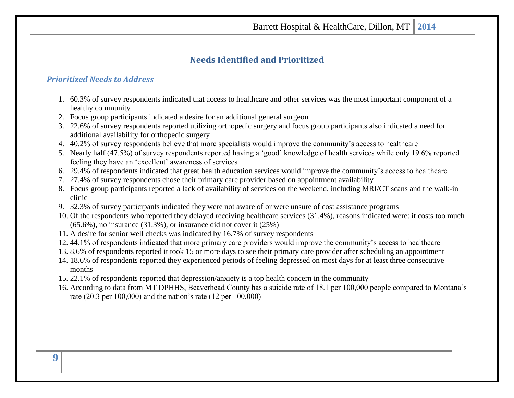### **Needs Identified and Prioritized**

### <span id="page-8-1"></span><span id="page-8-0"></span>*Prioritized Needs to Address*

- 1. 60.3% of survey respondents indicated that access to healthcare and other services was the most important component of a healthy community
- 2. Focus group participants indicated a desire for an additional general surgeon
- 3. 22.6% of survey respondents reported utilizing orthopedic surgery and focus group participants also indicated a need for additional availability for orthopedic surgery
- 4. 40.2% of survey respondents believe that more specialists would improve the community's access to healthcare
- 5. Nearly half (47.5%) of survey respondents reported having a 'good' knowledge of health services while only 19.6% reported feeling they have an 'excellent' awareness of services
- 6. 29.4% of respondents indicated that great health education services would improve the community's access to healthcare
- 7. 27.4% of survey respondents chose their primary care provider based on appointment availability
- 8. Focus group participants reported a lack of availability of services on the weekend, including MRI/CT scans and the walk-in clinic
- 9. 32.3% of survey participants indicated they were not aware of or were unsure of cost assistance programs
- 10. Of the respondents who reported they delayed receiving healthcare services (31.4%), reasons indicated were: it costs too much (65.6%), no insurance (31.3%), or insurance did not cover it (25%)
- 11. A desire for senior well checks was indicated by 16.7% of survey respondents
- 12. 44.1% of respondents indicated that more primary care providers would improve the community's access to healthcare
- 13. 8.6% of respondents reported it took 15 or more days to see their primary care provider after scheduling an appointment
- 14. 18.6% of respondents reported they experienced periods of feeling depressed on most days for at least three consecutive months
- 15. 22.1% of respondents reported that depression/anxiety is a top health concern in the community
- 16. According to data from MT DPHHS, Beaverhead County has a suicide rate of 18.1 per 100,000 people compared to Montana's rate (20.3 per 100,000) and the nation's rate (12 per 100,000)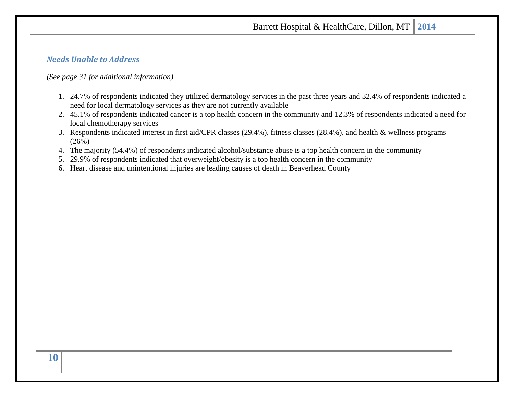### <span id="page-9-0"></span>*Needs Unable to Address*

#### *(See page 31 for additional information)*

- 1. 24.7% of respondents indicated they utilized dermatology services in the past three years and 32.4% of respondents indicated a need for local dermatology services as they are not currently available
- 2. 45.1% of respondents indicated cancer is a top health concern in the community and 12.3% of respondents indicated a need for local chemotherapy services
- 3. Respondents indicated interest in first aid/CPR classes (29.4%), fitness classes (28.4%), and health & wellness programs  $(26%)$
- 4. The majority (54.4%) of respondents indicated alcohol/substance abuse is a top health concern in the community
- 5. 29.9% of respondents indicated that overweight/obesity is a top health concern in the community
- 6. Heart disease and unintentional injuries are leading causes of death in Beaverhead County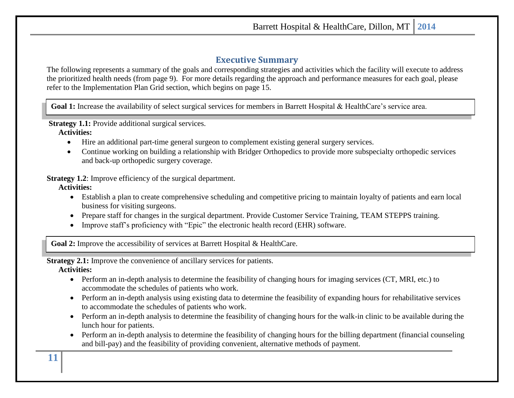### **Executive Summary**

<span id="page-10-0"></span>The following represents a summary of the goals and corresponding strategies and activities which the facility will execute to address the prioritized health needs (from page 9). For more details regarding the approach and performance measures for each goal, please refer to the Implementation Plan Grid section, which begins on page 15.

Goal 1: Increase the availability of select surgical services for members in Barrett Hospital & HealthCare's service area.

**Strategy 1.1:** Provide additional surgical services.

**Activities:** 

- Hire an additional part-time general surgeon to complement existing general surgery services.
- Continue working on building a relationship with Bridger Orthopedics to provide more subspecialty orthopedic services and back-up orthopedic surgery coverage.

**Strategy 1.2:** Improve efficiency of the surgical department.

**Activities:** 

- Establish a plan to create comprehensive scheduling and competitive pricing to maintain loyalty of patients and earn local business for visiting surgeons.
- Prepare staff for changes in the surgical department. Provide Customer Service Training, TEAM STEPPS training.
- Improve staff's proficiency with "Epic" the electronic health record (EHR) software.

Goal 2: Improve the accessibility of services at Barrett Hospital & HealthCare.

**Strategy 2.1:** Improve the convenience of ancillary services for patients.

**Activities:** 

- Perform an in-depth analysis to determine the feasibility of changing hours for imaging services (CT, MRI, etc.) to accommodate the schedules of patients who work.
- Perform an in-depth analysis using existing data to determine the feasibility of expanding hours for rehabilitative services to accommodate the schedules of patients who work.
- Perform an in-depth analysis to determine the feasibility of changing hours for the walk-in clinic to be available during the lunch hour for patients.
- Perform an in-depth analysis to determine the feasibility of changing hours for the billing department (financial counseling and bill-pay) and the feasibility of providing convenient, alternative methods of payment.

**11**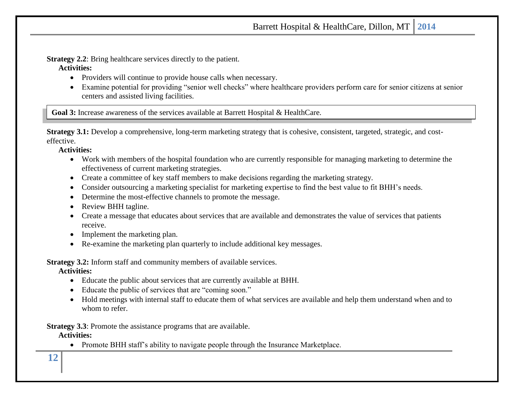**Strategy 2.2:** Bring healthcare services directly to the patient.

#### **Activities:**

- Providers will continue to provide house calls when necessary.
- Examine potential for providing "senior well checks" where healthcare providers perform care for senior citizens at senior centers and assisted living facilities.

**Goal 3:** Increase awareness of the services available at Barrett Hospital & HealthCare.

**Strategy 3.1:** Develop a comprehensive, long-term marketing strategy that is cohesive, consistent, targeted, strategic, and costeffective.

#### **Activities:**

- Work with members of the hospital foundation who are currently responsible for managing marketing to determine the effectiveness of current marketing strategies.
- Create a committee of key staff members to make decisions regarding the marketing strategy.
- Consider outsourcing a marketing specialist for marketing expertise to find the best value to fit BHH's needs.
- Determine the most-effective channels to promote the message.
- Review BHH tagline.
- Create a message that educates about services that are available and demonstrates the value of services that patients receive.
- Implement the marketing plan.
- Re-examine the marketing plan quarterly to include additional key messages.

**Strategy 3.2:** Inform staff and community members of available services.

**Activities:** 

- Educate the public about services that are currently available at BHH.
- Educate the public of services that are "coming soon."
- Hold meetings with internal staff to educate them of what services are available and help them understand when and to whom to refer.

**Strategy 3.3**: Promote the assistance programs that are available.

**Activities:** 

• Promote BHH staff's ability to navigate people through the Insurance Marketplace.

**12**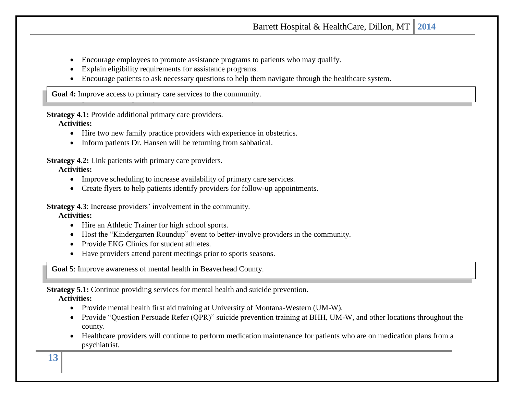- Encourage employees to promote assistance programs to patients who may qualify.
- Explain eligibility requirements for assistance programs.
- Encourage patients to ask necessary questions to help them navigate through the healthcare system.

**Goal 4:** Improve access to primary care services to the community.

**Strategy 4.1:** Provide additional primary care providers.

**Activities:** 

- Hire two new family practice providers with experience in obstetrics.
- Inform patients Dr. Hansen will be returning from sabbatical.

**Strategy 4.2:** Link patients with primary care providers.

### **Activities:**

- Improve scheduling to increase availability of primary care services.
- Create flyers to help patients identify providers for follow-up appointments.

**Strategy 4.3**: Increase providers' involvement in the community.

### **Activities:**

- Hire an Athletic Trainer for high school sports.
- Host the "Kindergarten Roundup" event to better-involve providers in the community.
- Provide EKG Clinics for student athletes.
- Have providers attend parent meetings prior to sports seasons.

**Goal 5**: Improve awareness of mental health in Beaverhead County.

**Strategy 5.1:** Continue providing services for mental health and suicide prevention.

**Activities:** 

- Provide mental health first aid training at University of Montana-Western (UM-W).
- Provide "Question Persuade Refer (QPR)" suicide prevention training at BHH, UM-W, and other locations throughout the county.
- Healthcare providers will continue to perform medication maintenance for patients who are on medication plans from a psychiatrist.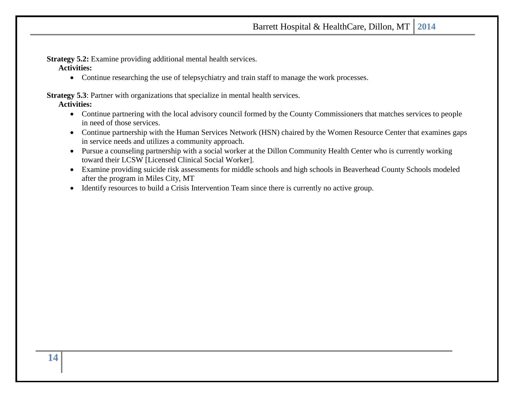**Strategy 5.2:** Examine providing additional mental health services.

**Activities:** 

• Continue researching the use of telepsychiatry and train staff to manage the work processes.

**Strategy 5.3**: Partner with organizations that specialize in mental health services.

**Activities:** 

- Continue partnering with the local advisory council formed by the County Commissioners that matches services to people in need of those services.
- Continue partnership with the Human Services Network (HSN) chaired by the Women Resource Center that examines gaps in service needs and utilizes a community approach.
- Pursue a counseling partnership with a social worker at the Dillon Community Health Center who is currently working toward their LCSW [Licensed Clinical Social Worker].
- Examine providing suicide risk assessments for middle schools and high schools in Beaverhead County Schools modeled after the program in Miles City, MT
- Identify resources to build a Crisis Intervention Team since there is currently no active group.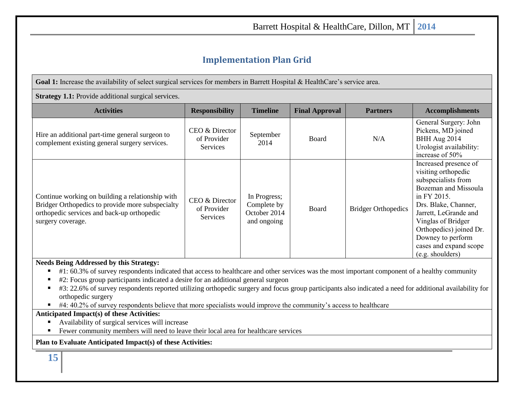# **Implementation Plan Grid**

<span id="page-14-0"></span>Goal 1: Increase the availability of select surgical services for members in Barrett Hospital & HealthCare's service area.

#### **Strategy 1.1:** Provide additional surgical services.

| <b>Activities</b>                                                                                                                                                       | <b>Responsibility</b>                            | <b>Timeline</b>                                            | <b>Final Approval</b> | <b>Partners</b>            | <b>Accomplishments</b>                                                                                                                                                                                                                                                          |
|-------------------------------------------------------------------------------------------------------------------------------------------------------------------------|--------------------------------------------------|------------------------------------------------------------|-----------------------|----------------------------|---------------------------------------------------------------------------------------------------------------------------------------------------------------------------------------------------------------------------------------------------------------------------------|
| Hire an additional part-time general surgeon to<br>complement existing general surgery services.                                                                        | CEO & Director<br>of Provider<br><b>Services</b> | September<br>2014                                          | <b>Board</b>          | N/A                        | General Surgery: John<br>Pickens, MD joined<br>BHH Aug 2014<br>Urologist availability:<br>increase of 50%                                                                                                                                                                       |
| Continue working on building a relationship with<br>Bridger Orthopedics to provide more subspecialty<br>orthopedic services and back-up orthopedic<br>surgery coverage. | CEO & Director<br>of Provider<br>Services        | In Progress;<br>Complete by<br>October 2014<br>and ongoing | Board                 | <b>Bridger Orthopedics</b> | Increased presence of<br>visiting orthopedic<br>subspecialists from<br>Bozeman and Missoula<br>in FY 2015.<br>Drs. Blake, Channer,<br>Jarrett, LeGrande and<br>Vinglas of Bridger<br>Orthopedics) joined Dr.<br>Downey to perform<br>cases and expand scope<br>(e.g. shoulders) |

#### **Needs Being Addressed by this Strategy:**

- #1: 60.3% of survey respondents indicated that access to healthcare and other services was the most important component of a healthy community
- #2: Focus group participants indicated a desire for an additional general surgeon
- #3: 22.6% of survey respondents reported utilizing orthopedic surgery and focus group participants also indicated a need for additional availability for orthopedic surgery
- #4: 40.2% of survey respondents believe that more specialists would improve the community's access to healthcare

### **Anticipated Impact(s) of these Activities:**

- Availability of surgical services will increase
- Fewer community members will need to leave their local area for healthcare services

**Plan to Evaluate Anticipated Impact(s) of these Activities:**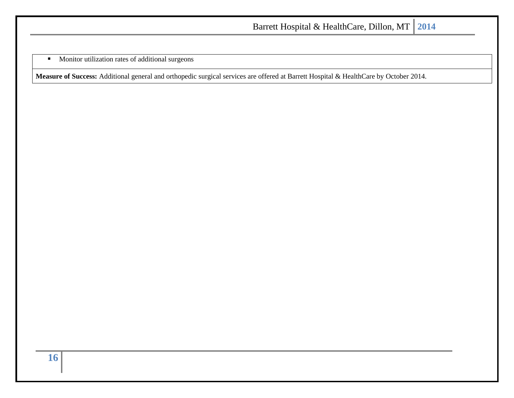**■** Monitor utilization rates of additional surgeons

**Measure of Success:** Additional general and orthopedic surgical services are offered at Barrett Hospital & HealthCare by October 2014.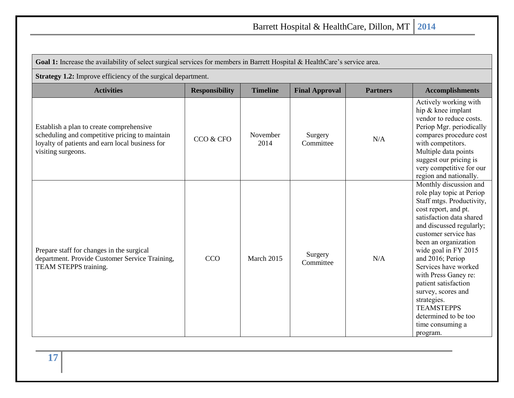| Goal 1: Increase the availability of select surgical services for members in Barrett Hospital & HealthCare's service area.                                          |                       |                  |                       |                 |                                                                                                                                                                                                                                                                                                                                                                                                                                                        |  |  |  |  |
|---------------------------------------------------------------------------------------------------------------------------------------------------------------------|-----------------------|------------------|-----------------------|-----------------|--------------------------------------------------------------------------------------------------------------------------------------------------------------------------------------------------------------------------------------------------------------------------------------------------------------------------------------------------------------------------------------------------------------------------------------------------------|--|--|--|--|
| <b>Strategy 1.2:</b> Improve efficiency of the surgical department.                                                                                                 |                       |                  |                       |                 |                                                                                                                                                                                                                                                                                                                                                                                                                                                        |  |  |  |  |
| <b>Activities</b>                                                                                                                                                   | <b>Responsibility</b> | <b>Timeline</b>  | <b>Final Approval</b> | <b>Partners</b> | <b>Accomplishments</b>                                                                                                                                                                                                                                                                                                                                                                                                                                 |  |  |  |  |
| Establish a plan to create comprehensive<br>scheduling and competitive pricing to maintain<br>loyalty of patients and earn local business for<br>visiting surgeons. | CCO & CFO             | November<br>2014 | Surgery<br>Committee  | N/A             | Actively working with<br>hip & knee implant<br>vendor to reduce costs.<br>Periop Mgr. periodically<br>compares procedure cost<br>with competitors.<br>Multiple data points<br>suggest our pricing is<br>very competitive for our<br>region and nationally.                                                                                                                                                                                             |  |  |  |  |
| Prepare staff for changes in the surgical<br>department. Provide Customer Service Training,<br>TEAM STEPPS training.                                                | <b>CCO</b>            | March 2015       | Surgery<br>Committee  | N/A             | Monthly discussion and<br>role play topic at Periop<br>Staff mtgs. Productivity,<br>cost report, and pt.<br>satisfaction data shared<br>and discussed regularly;<br>customer service has<br>been an organization<br>wide goal in FY 2015<br>and 2016; Periop<br>Services have worked<br>with Press Ganey re:<br>patient satisfaction<br>survey, scores and<br>strategies.<br><b>TEAMSTEPPS</b><br>determined to be too<br>time consuming a<br>program. |  |  |  |  |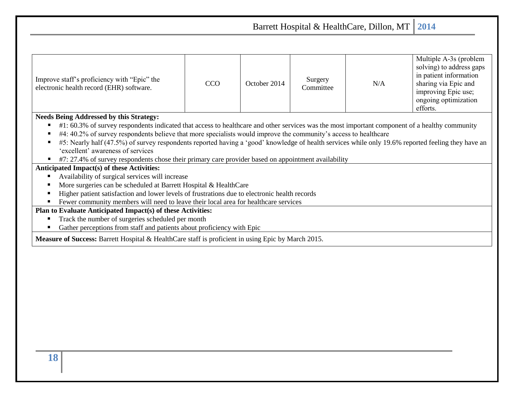Barrett Hospital & HealthCare, Dillon, MT **2014** Improve staff's proficiency with "Epic" the Improve staff's proficiency with "Epic" the<br>
electronic health record (EHR) software. CCO CCO COCO Committee Surgery<br>Committee N/A Multiple A-3s (problem solving) to address gaps in patient information sharing via Epic and improving Epic use; ongoing optimization efforts. **Needs Being Addressed by this Strategy:** ■ #1: 60.3% of survey respondents indicated that access to healthcare and other services was the most important component of a healthy community #4: 40.2% of survey respondents believe that more specialists would improve the community's access to healthcare  $\blacksquare$  #5: Nearly half (47.5%) of survey respondents reported having a 'good' knowledge of health services while only 19.6% reported feeling they have an 'excellent' awareness of services ■ #7: 27.4% of survey respondents chose their primary care provider based on appointment availability **Anticipated Impact(s) of these Activities:** ■ Availability of surgical services will increase ■ More surgeries can be scheduled at Barrett Hospital & HealthCare ■ Higher patient satisfaction and lower levels of frustrations due to electronic health records ▪ Fewer community members will need to leave their local area for healthcare services

**Plan to Evaluate Anticipated Impact(s) of these Activities:**

- Track the number of surgeries scheduled per month
- Gather perceptions from staff and patients about proficiency with Epic

**Measure of Success:** Barrett Hospital & HealthCare staff is proficient in using Epic by March 2015.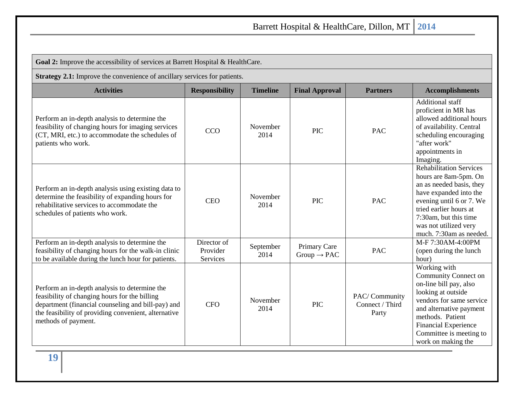| Goal 2: Improve the accessibility of services at Barrett Hospital & HealthCare.                                                                                                                                                     |                                     |                   |                                         |                                           |                                                                                                                                                                                                                                                        |  |  |
|-------------------------------------------------------------------------------------------------------------------------------------------------------------------------------------------------------------------------------------|-------------------------------------|-------------------|-----------------------------------------|-------------------------------------------|--------------------------------------------------------------------------------------------------------------------------------------------------------------------------------------------------------------------------------------------------------|--|--|
| Strategy 2.1: Improve the convenience of ancillary services for patients.                                                                                                                                                           |                                     |                   |                                         |                                           |                                                                                                                                                                                                                                                        |  |  |
| <b>Activities</b>                                                                                                                                                                                                                   | <b>Responsibility</b>               | <b>Timeline</b>   | <b>Final Approval</b>                   | <b>Partners</b>                           | <b>Accomplishments</b>                                                                                                                                                                                                                                 |  |  |
| Perform an in-depth analysis to determine the<br>feasibility of changing hours for imaging services<br>(CT, MRI, etc.) to accommodate the schedules of<br>patients who work.                                                        | <b>CCO</b>                          | November<br>2014  | <b>PIC</b>                              | <b>PAC</b>                                | Additional staff<br>proficient in MR has<br>allowed additional hours<br>of availability. Central<br>scheduling encouraging<br>"after work"<br>appointments in<br>Imaging.                                                                              |  |  |
| Perform an in-depth analysis using existing data to<br>determine the feasibility of expanding hours for<br>rehabilitative services to accommodate the<br>schedules of patients who work.                                            | <b>CEO</b>                          | November<br>2014  | <b>PIC</b>                              | <b>PAC</b>                                | <b>Rehabilitation Services</b><br>hours are 8am-5pm. On<br>an as needed basis, they<br>have expanded into the<br>evening until 6 or 7. We<br>tried earlier hours at<br>7:30am, but this time<br>was not utilized very<br>much. 7:30am as needed.       |  |  |
| Perform an in-depth analysis to determine the<br>feasibility of changing hours for the walk-in clinic<br>to be available during the lunch hour for patients.                                                                        | Director of<br>Provider<br>Services | September<br>2014 | Primary Care<br>$Group \rightarrow PAC$ | <b>PAC</b>                                | M-F 7:30AM-4:00PM<br>(open during the lunch<br>hour)                                                                                                                                                                                                   |  |  |
| Perform an in-depth analysis to determine the<br>feasibility of changing hours for the billing<br>department (financial counseling and bill-pay) and<br>the feasibility of providing convenient, alternative<br>methods of payment. | <b>CFO</b>                          | November<br>2014  | <b>PIC</b>                              | PAC/Community<br>Connect / Third<br>Party | Working with<br><b>Community Connect on</b><br>on-line bill pay, also<br>looking at outside<br>vendors for same service<br>and alternative payment<br>methods. Patient<br><b>Financial Experience</b><br>Committee is meeting to<br>work on making the |  |  |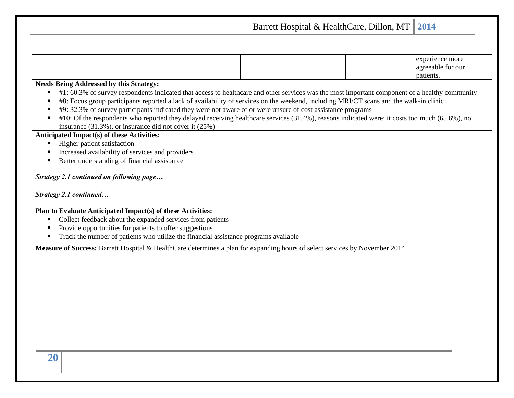Barrett Hospital & HealthCare, Dillon, MT **2014** experience more agreeable for our patients. **Needs Being Addressed by this Strategy:** ■ #1: 60.3% of survey respondents indicated that access to healthcare and other services was the most important component of a healthy community #8: Focus group participants reported a lack of availability of services on the weekend, including MRI/CT scans and the walk-in clinic ■ #9: 32.3% of survey participants indicated they were not aware of or were unsure of cost assistance programs  $\blacksquare$  #10: Of the respondents who reported they delayed receiving healthcare services (31.4%), reasons indicated were: it costs too much (65.6%), no insurance (31.3%), or insurance did not cover it (25%) **Anticipated Impact(s) of these Activities:** Higher patient satisfaction ■ Increased availability of services and providers ■ Better understanding of financial assistance *Strategy 2.1 continued on following page… Strategy 2.1 continued…* **Plan to Evaluate Anticipated Impact(s) of these Activities:** Collect feedback about the expanded services from patients Provide opportunities for patients to offer suggestions ■ Track the number of patients who utilize the financial assistance programs available **Measure of Success:** Barrett Hospital & HealthCare determines a plan for expanding hours of select services by November 2014.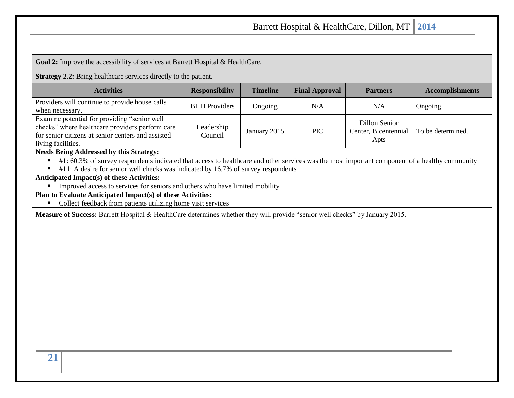**Goal 2:** Improve the accessibility of services at Barrett Hospital & HealthCare.

**Strategy 2.2:** Bring healthcare services directly to the patient.

| <b>Activities</b>                                                                                                                                                           | <b>Responsibility</b> | <b>Timeline</b> | <b>Final Approval</b> | <b>Partners</b>                               | <b>Accomplishments</b> |
|-----------------------------------------------------------------------------------------------------------------------------------------------------------------------------|-----------------------|-----------------|-----------------------|-----------------------------------------------|------------------------|
| Providers will continue to provide house calls<br>when necessary.                                                                                                           | <b>BHH</b> Providers  | Ongoing         | N/A                   | N/A                                           | Ongoing                |
| Examine potential for providing "senior well<br>checks" where healthcare providers perform care<br>for senior citizens at senior centers and assisted<br>living facilities. | Leadership<br>Council | January 2015    | <b>PIC</b>            | Dillon Senior<br>Center, Bicentennial<br>Apts | To be determined.      |

#### **Needs Being Addressed by this Strategy:**

 $\blacksquare$  #1: 60.3% of survey respondents indicated that access to healthcare and other services was the most important component of a healthy community

 $\blacksquare$  #11: A desire for senior well checks was indicated by 16.7% of survey respondents

### **Anticipated Impact(s) of these Activities:**

**IMPROVED ACCESS** to services for seniors and others who have limited mobility

### **Plan to Evaluate Anticipated Impact(s) of these Activities:**

■ Collect feedback from patients utilizing home visit services

**Measure of Success:** Barrett Hospital & HealthCare determines whether they will provide "senior well checks" by January 2015.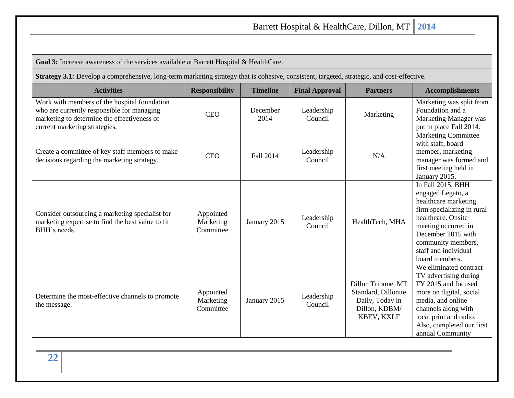**Goal 3:** Increase awareness of the services available at Barrett Hospital & HealthCare.

**Strategy 3.1:** Develop a comprehensive, long-term marketing strategy that is cohesive, consistent, targeted, strategic, and cost-effective.

| <b>Activities</b>                                                                                                                                                          | <b>Responsibility</b>               | <b>Timeline</b>  | <b>Final Approval</b> | <b>Partners</b>                                                                                    | <b>Accomplishments</b>                                                                                                                                                                                                          |
|----------------------------------------------------------------------------------------------------------------------------------------------------------------------------|-------------------------------------|------------------|-----------------------|----------------------------------------------------------------------------------------------------|---------------------------------------------------------------------------------------------------------------------------------------------------------------------------------------------------------------------------------|
| Work with members of the hospital foundation<br>who are currently responsible for managing<br>marketing to determine the effectiveness of<br>current marketing strategies. | <b>CEO</b>                          | December<br>2014 | Leadership<br>Council | Marketing                                                                                          | Marketing was split from<br>Foundation and a<br>Marketing Manager was<br>put in place Fall 2014.                                                                                                                                |
| Create a committee of key staff members to make<br>decisions regarding the marketing strategy.                                                                             | <b>CEO</b>                          | Fall 2014        | Leadership<br>Council | N/A                                                                                                | <b>Marketing Committee</b><br>with staff, board<br>member, marketing<br>manager was formed and<br>first meeting held in<br>January 2015.                                                                                        |
| Consider outsourcing a marketing specialist for<br>marketing expertise to find the best value to fit<br>BHH's needs.                                                       | Appointed<br>Marketing<br>Committee | January 2015     | Leadership<br>Council | HealthTech, MHA                                                                                    | In Fall 2015, BHH<br>engaged Legato, a<br>healthcare marketing<br>firm specializing in rural<br>healthcare. Onsite<br>meeting occurred in<br>December 2015 with<br>community members,<br>staff and individual<br>board members. |
| Determine the most-effective channels to promote<br>the message.                                                                                                           | Appointed<br>Marketing<br>Committee | January 2015     | Leadership<br>Council | Dillon Tribune, MT<br>Standard, Dillonite<br>Daily, Today in<br>Dillon, KDBM/<br><b>KBEV, KXLF</b> | We eliminated contract<br>TV advertising during<br>FY 2015 and focused<br>more on digital, social<br>media, and online<br>channels along with<br>local print and radio.<br>Also, completed our first<br>annual Community        |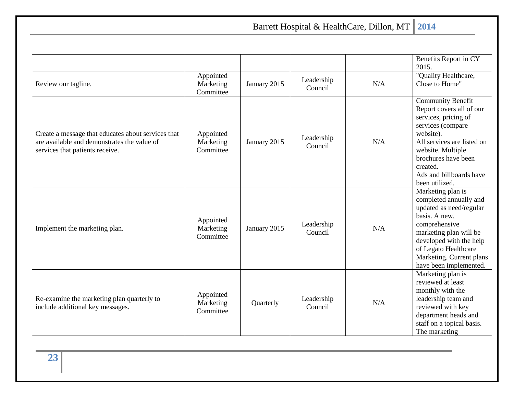|                                                                                                                                      |                                     |              |                       |     | Benefits Report in CY<br>2015.                                                                                                                                                                                                                    |
|--------------------------------------------------------------------------------------------------------------------------------------|-------------------------------------|--------------|-----------------------|-----|---------------------------------------------------------------------------------------------------------------------------------------------------------------------------------------------------------------------------------------------------|
| Review our tagline.                                                                                                                  | Appointed<br>Marketing<br>Committee | January 2015 | Leadership<br>Council | N/A | "Quality Healthcare,<br>Close to Home"                                                                                                                                                                                                            |
| Create a message that educates about services that<br>are available and demonstrates the value of<br>services that patients receive. | Appointed<br>Marketing<br>Committee | January 2015 | Leadership<br>Council | N/A | <b>Community Benefit</b><br>Report covers all of our<br>services, pricing of<br>services (compare<br>website).<br>All services are listed on<br>website. Multiple<br>brochures have been<br>created.<br>Ads and billboards have<br>been utilized. |
| Implement the marketing plan.                                                                                                        | Appointed<br>Marketing<br>Committee | January 2015 | Leadership<br>Council | N/A | Marketing plan is<br>completed annually and<br>updated as need/regular<br>basis. A new,<br>comprehensive<br>marketing plan will be<br>developed with the help<br>of Legato Healthcare<br>Marketing. Current plans<br>have been implemented.       |
| Re-examine the marketing plan quarterly to<br>include additional key messages.                                                       | Appointed<br>Marketing<br>Committee | Quarterly    | Leadership<br>Council | N/A | Marketing plan is<br>reviewed at least<br>monthly with the<br>leadership team and<br>reviewed with key<br>department heads and<br>staff on a topical basis.<br>The marketing                                                                      |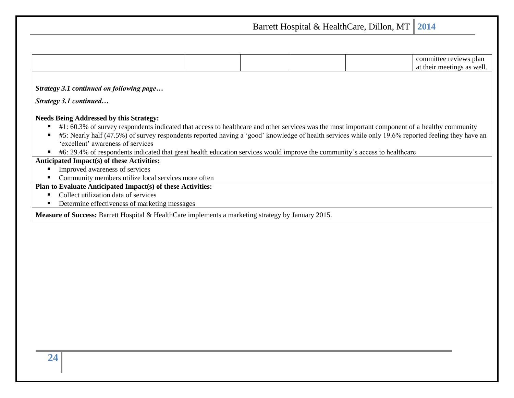Barrett Hospital & HealthCare, Dillon, MT **2014** committee reviews plan at their meetings as well. *Strategy 3.1 continued on following page… Strategy 3.1 continued…* **Needs Being Addressed by this Strategy:** ■ #1: 60.3% of survey respondents indicated that access to healthcare and other services was the most important component of a healthy community  $\blacksquare$  #5: Nearly half (47.5%) of survey respondents reported having a 'good' knowledge of health services while only 19.6% reported feeling they have an 'excellent' awareness of services ■ #6: 29.4% of respondents indicated that great health education services would improve the community's access to healthcare **Anticipated Impact(s) of these Activities: Improved awareness of services** ■ Community members utilize local services more often **Plan to Evaluate Anticipated Impact(s) of these Activities:** ■ Collect utilization data of services ■ Determine effectiveness of marketing messages **Measure of Success:** Barrett Hospital & HealthCare implements a marketing strategy by January 2015.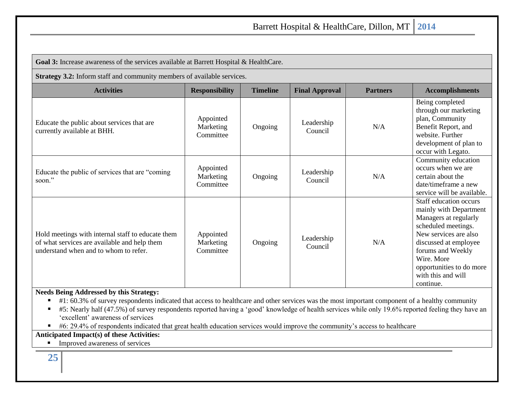| Goal 3: Increase awareness of the services available at Barrett Hospital & HealthCare.                                                                                                                                                                                                                                                                                                                                                                                                                                                                                  |                                     |                 |                       |                 |                                                                                                                                                                                                                                                      |  |  |  |
|-------------------------------------------------------------------------------------------------------------------------------------------------------------------------------------------------------------------------------------------------------------------------------------------------------------------------------------------------------------------------------------------------------------------------------------------------------------------------------------------------------------------------------------------------------------------------|-------------------------------------|-----------------|-----------------------|-----------------|------------------------------------------------------------------------------------------------------------------------------------------------------------------------------------------------------------------------------------------------------|--|--|--|
| Strategy 3.2: Inform staff and community members of available services.                                                                                                                                                                                                                                                                                                                                                                                                                                                                                                 |                                     |                 |                       |                 |                                                                                                                                                                                                                                                      |  |  |  |
| <b>Activities</b>                                                                                                                                                                                                                                                                                                                                                                                                                                                                                                                                                       | <b>Responsibility</b>               | <b>Timeline</b> | <b>Final Approval</b> | <b>Partners</b> | <b>Accomplishments</b>                                                                                                                                                                                                                               |  |  |  |
| Educate the public about services that are<br>currently available at BHH.                                                                                                                                                                                                                                                                                                                                                                                                                                                                                               | Appointed<br>Marketing<br>Committee | Ongoing         | Leadership<br>Council | N/A             | Being completed<br>through our marketing<br>plan, Community<br>Benefit Report, and<br>website. Further<br>development of plan to<br>occur with Legato.                                                                                               |  |  |  |
| Educate the public of services that are "coming<br>soon."                                                                                                                                                                                                                                                                                                                                                                                                                                                                                                               | Appointed<br>Marketing<br>Committee | Ongoing         | Leadership<br>Council | N/A             | Community education<br>occurs when we are<br>certain about the<br>date/timeframe a new<br>service will be available.                                                                                                                                 |  |  |  |
| Hold meetings with internal staff to educate them<br>of what services are available and help them<br>understand when and to whom to refer.                                                                                                                                                                                                                                                                                                                                                                                                                              | Appointed<br>Marketing<br>Committee | Ongoing         | Leadership<br>Council | N/A             | Staff education occurs<br>mainly with Department<br>Managers at regularly<br>scheduled meetings.<br>New services are also<br>discussed at employee<br>forums and Weekly<br>Wire. More<br>opportunities to do more<br>with this and will<br>continue. |  |  |  |
| <b>Needs Being Addressed by this Strategy:</b><br>#1: 60.3% of survey respondents indicated that access to healthcare and other services was the most important component of a healthy community<br>#5: Nearly half (47.5%) of survey respondents reported having a 'good' knowledge of health services while only 19.6% reported feeling they have an<br>'excellent' awareness of services<br>#6: 29.4% of respondents indicated that great health education services would improve the community's access to healthcare<br>Anticipated Impact(s) of these Activities: |                                     |                 |                       |                 |                                                                                                                                                                                                                                                      |  |  |  |

■ Improved awareness of services

**25**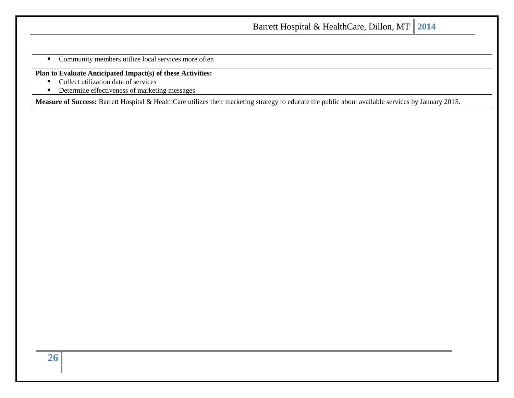■ Community members utilize local services more often

**Plan to Evaluate Anticipated Impact(s) of these Activities:**

- Collect utilization data of services
- Determine effectiveness of marketing messages

**Measure of Success:** Barrett Hospital & HealthCare utilizes their marketing strategy to educate the public about available services by January 2015.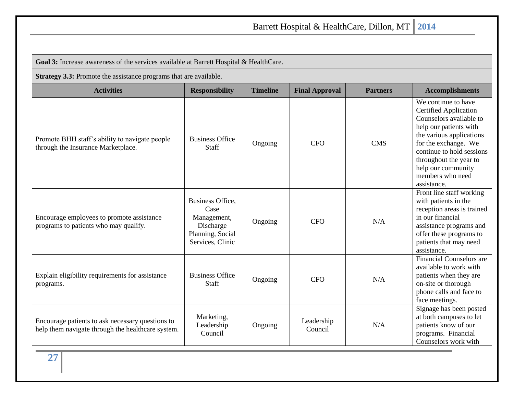| Goal 3: Increase awareness of the services available at Barrett Hospital & HealthCare.                |                                                                                                     |                 |                       |                 |                                                                                                                                                                                                                                                                              |  |  |  |
|-------------------------------------------------------------------------------------------------------|-----------------------------------------------------------------------------------------------------|-----------------|-----------------------|-----------------|------------------------------------------------------------------------------------------------------------------------------------------------------------------------------------------------------------------------------------------------------------------------------|--|--|--|
| Strategy 3.3: Promote the assistance programs that are available.                                     |                                                                                                     |                 |                       |                 |                                                                                                                                                                                                                                                                              |  |  |  |
| <b>Activities</b>                                                                                     | <b>Responsibility</b>                                                                               | <b>Timeline</b> | <b>Final Approval</b> | <b>Partners</b> | <b>Accomplishments</b>                                                                                                                                                                                                                                                       |  |  |  |
| Promote BHH staff's ability to navigate people<br>through the Insurance Marketplace.                  | <b>Business Office</b><br>Staff                                                                     | Ongoing         | <b>CFO</b>            | <b>CMS</b>      | We continue to have<br><b>Certified Application</b><br>Counselors available to<br>help our patients with<br>the various applications<br>for the exchange. We<br>continue to hold sessions<br>throughout the year to<br>help our community<br>members who need<br>assistance. |  |  |  |
| Encourage employees to promote assistance<br>programs to patients who may qualify.                    | <b>Business Office.</b><br>Case<br>Management,<br>Discharge<br>Planning, Social<br>Services, Clinic | Ongoing         | <b>CFO</b>            | N/A             | Front line staff working<br>with patients in the<br>reception areas is trained<br>in our financial<br>assistance programs and<br>offer these programs to<br>patients that may need<br>assistance.                                                                            |  |  |  |
| Explain eligibility requirements for assistance<br>programs.                                          | <b>Business Office</b><br>Staff                                                                     | Ongoing         | <b>CFO</b>            | N/A             | <b>Financial Counselors are</b><br>available to work with<br>patients when they are<br>on-site or thorough<br>phone calls and face to<br>face meetings.                                                                                                                      |  |  |  |
| Encourage patients to ask necessary questions to<br>help them navigate through the healthcare system. | Marketing,<br>Leadership<br>Council                                                                 | Ongoing         | Leadership<br>Council | N/A             | Signage has been posted<br>at both campuses to let<br>patients know of our<br>programs. Financial<br>Counselors work with                                                                                                                                                    |  |  |  |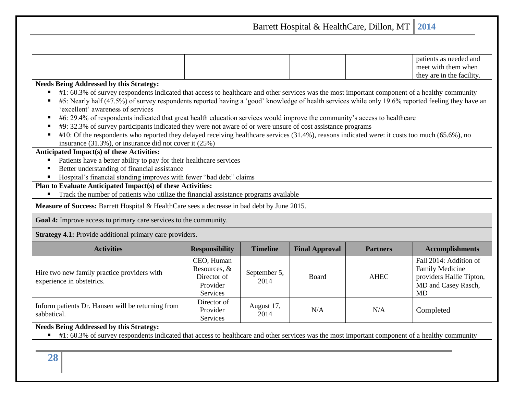Barrett Hospital & HealthCare, Dillon, MT **2014** patients as needed and meet with them when they are in the facility. **Needs Being Addressed by this Strategy:** ■ #1: 60.3% of survey respondents indicated that access to healthcare and other services was the most important component of a healthy community  $\blacksquare$  #5: Nearly half (47.5%) of survey respondents reported having a 'good' knowledge of health services while only 19.6% reported feeling they have an 'excellent' awareness of services ■ #6: 29.4% of respondents indicated that great health education services would improve the community's access to healthcare ■ #9: 32.3% of survey participants indicated they were not aware of or were unsure of cost assistance programs  $\blacksquare$  #10: Of the respondents who reported they delayed receiving healthcare services (31.4%), reasons indicated were: it costs too much (65.6%), no insurance (31.3%), or insurance did not cover it (25%) **Anticipated Impact(s) of these Activities:** Patients have a better ability to pay for their healthcare services ■ Better understanding of financial assistance ■ Hospital's financial standing improves with fewer "bad debt" claims **Plan to Evaluate Anticipated Impact(s) of these Activities:** ■ Track the number of patients who utilize the financial assistance programs available **Measure of Success:** Barrett Hospital & HealthCare sees a decrease in bad debt by June 2015. **Goal 4:** Improve access to primary care services to the community. **Strategy 4.1:** Provide additional primary care providers. **Activities Responsibility Timeline Final Approval Partners Accomplishments** Hire two new family practice providers with experience in obstetrics. CEO, Human Resources, & Director of Provider Services September 5,  $2014$  Board AHEC Fall 2014: Addition of Family Medicine providers Hallie Tipton, MD and Casey Rasch, MD Inform patients Dr. Hansen will be returning from sabbatical. Director of Provider Services August 17,  $\begin{array}{c|c}\n\text{2014} \\
\text{2014}\n\end{array}$  N/A N/A Completed

**Needs Being Addressed by this Strategy:**

■ #1: 60.3% of survey respondents indicated that access to healthcare and other services was the most important component of a healthy community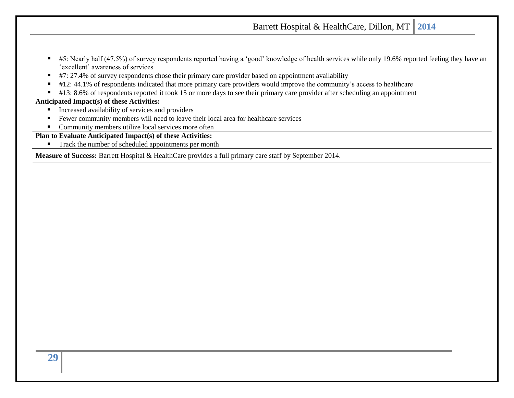- #5: Nearly half (47.5%) of survey respondents reported having a 'good' knowledge of health services while only 19.6% reported feeling they have an 'excellent' awareness of services
- #7: 27.4% of survey respondents chose their primary care provider based on appointment availability
- #12: 44.1% of respondents indicated that more primary care providers would improve the community's access to healthcare
- #13: 8.6% of respondents reported it took 15 or more days to see their primary care provider after scheduling an appointment

### **Anticipated Impact(s) of these Activities:**

- Increased availability of services and providers
- Fewer community members will need to leave their local area for healthcare services
- Community members utilize local services more often

**Plan to Evaluate Anticipated Impact(s) of these Activities:**

■ Track the number of scheduled appointments per month

**Measure of Success:** Barrett Hospital & HealthCare provides a full primary care staff by September 2014.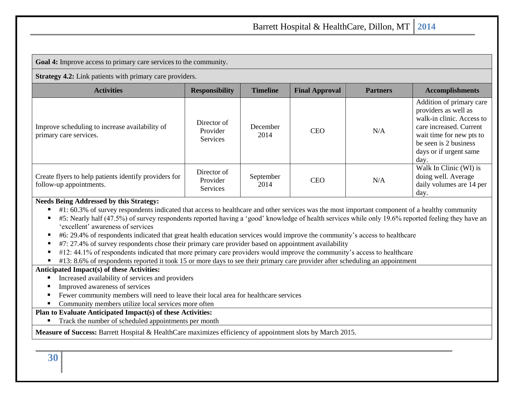**Goal 4:** Improve access to primary care services to the community.

**Strategy 4.2:** Link patients with primary care providers.

| <b>Activities</b>                                                                | <b>Responsibility</b>                      | <b>Timeline</b>   | <b>Final Approval</b> | <b>Partners</b> | <b>Accomplishments</b>                                                                                                                                                                          |
|----------------------------------------------------------------------------------|--------------------------------------------|-------------------|-----------------------|-----------------|-------------------------------------------------------------------------------------------------------------------------------------------------------------------------------------------------|
| Improve scheduling to increase availability of<br>primary care services.         | Director of<br>Provider<br><b>Services</b> | December<br>2014  | <b>CEO</b>            | N/A             | Addition of primary care<br>providers as well as<br>walk-in clinic. Access to<br>care increased. Current<br>wait time for new pts to<br>be seen is 2 business<br>days or if urgent same<br>day. |
| Create flyers to help patients identify providers for<br>follow-up appointments. | Director of<br>Provider<br>Services        | September<br>2014 | <b>CEO</b>            | N/A             | Walk In Clinic (WI) is<br>doing well. Average<br>daily volumes are 14 per<br>day.                                                                                                               |

#### **Needs Being Addressed by this Strategy:**

- #1: 60.3% of survey respondents indicated that access to healthcare and other services was the most important component of a healthy community
- $\blacksquare$  #5: Nearly half (47.5%) of survey respondents reported having a 'good' knowledge of health services while only 19.6% reported feeling they have an 'excellent' awareness of services
- #6: 29.4% of respondents indicated that great health education services would improve the community's access to healthcare
- #7: 27.4% of survey respondents chose their primary care provider based on appointment availability
- #12: 44.1% of respondents indicated that more primary care providers would improve the community's access to healthcare
- #13: 8.6% of respondents reported it took 15 or more days to see their primary care provider after scheduling an appointment

#### **Anticipated Impact(s) of these Activities:**

- Increased availability of services and providers
- Improved awareness of services
- Fewer community members will need to leave their local area for healthcare services
- Community members utilize local services more often

#### **Plan to Evaluate Anticipated Impact(s) of these Activities:**

■ Track the number of scheduled appointments per month

#### **Measure of Success:** Barrett Hospital & HealthCare maximizes efficiency of appointment slots by March 2015.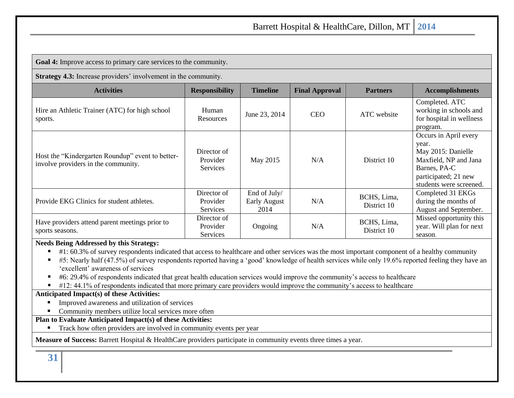**Goal 4:** Improve access to primary care services to the community.

**Strategy 4.3:** Increase providers' involvement in the community.

| <b>Activities</b>                                                                       | <b>Responsibility</b>                      | <b>Timeline</b>                      | <b>Final Approval</b> | <b>Partners</b>            | <b>Accomplishments</b>                                                                                                                           |
|-----------------------------------------------------------------------------------------|--------------------------------------------|--------------------------------------|-----------------------|----------------------------|--------------------------------------------------------------------------------------------------------------------------------------------------|
| Hire an Athletic Trainer (ATC) for high school<br>sports.                               | Human<br>Resources                         | June 23, 2014                        | <b>CEO</b>            | ATC website                | Completed. ATC<br>working in schools and<br>for hospital in wellness<br>program.                                                                 |
| Host the "Kindergarten Roundup" event to better-<br>involve providers in the community. | Director of<br>Provider<br>Services        | May 2015                             | N/A                   | District 10                | Occurs in April every<br>year.<br>May 2015: Danielle<br>Maxfield, NP and Jana<br>Barnes, PA-C<br>participated; 21 new<br>students were screened. |
| Provide EKG Clinics for student athletes.                                               | Director of<br>Provider<br><b>Services</b> | End of July/<br>Early August<br>2014 | N/A                   | BCHS, Lima,<br>District 10 | Completed 31 EKGs<br>during the months of<br>August and September.                                                                               |
| Have providers attend parent meetings prior to<br>sports seasons.                       | Director of<br>Provider<br><b>Services</b> | Ongoing                              | N/A                   | BCHS, Lima,<br>District 10 | Missed opportunity this<br>year. Will plan for next<br>season.                                                                                   |

#### **Needs Being Addressed by this Strategy:**

 $\blacksquare$  #1: 60.3% of survey respondents indicated that access to healthcare and other services was the most important component of a healthy community

- $\blacktriangleright$  #5: Nearly half (47.5%) of survey respondents reported having a 'good' knowledge of health services while only 19.6% reported feeling they have an 'excellent' awareness of services
- #6: 29.4% of respondents indicated that great health education services would improve the community's access to healthcare
- $\blacksquare$  #12: 44.1% of respondents indicated that more primary care providers would improve the community's access to healthcare

#### **Anticipated Impact(s) of these Activities:**

- Improved awareness and utilization of services
- Community members utilize local services more often

#### **Plan to Evaluate Anticipated Impact(s) of these Activities:**

Track how often providers are involved in community events per year

**Measure of Success:** Barrett Hospital & HealthCare providers participate in community events three times a year.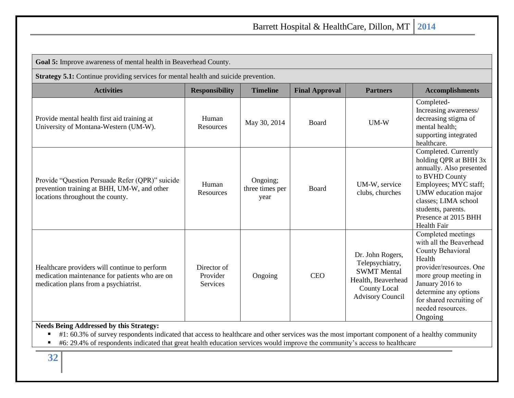| Goal 5: Improve awareness of mental health in Beaverhead County.                                                                                                                                                                                                                                                               |                                     |                                     |                       |                                                                                                                                   |                                                                                                                                                                                                                                          |  |  |  |
|--------------------------------------------------------------------------------------------------------------------------------------------------------------------------------------------------------------------------------------------------------------------------------------------------------------------------------|-------------------------------------|-------------------------------------|-----------------------|-----------------------------------------------------------------------------------------------------------------------------------|------------------------------------------------------------------------------------------------------------------------------------------------------------------------------------------------------------------------------------------|--|--|--|
| <b>Strategy 5.1:</b> Continue providing services for mental health and suicide prevention.                                                                                                                                                                                                                                     |                                     |                                     |                       |                                                                                                                                   |                                                                                                                                                                                                                                          |  |  |  |
| <b>Activities</b>                                                                                                                                                                                                                                                                                                              | <b>Responsibility</b>               | <b>Timeline</b>                     | <b>Final Approval</b> | <b>Partners</b>                                                                                                                   | <b>Accomplishments</b>                                                                                                                                                                                                                   |  |  |  |
| Provide mental health first aid training at<br>University of Montana-Western (UM-W).                                                                                                                                                                                                                                           | Human<br>Resources                  | May 30, 2014                        | Board                 | $UM-W$                                                                                                                            | Completed-<br>Increasing awareness/<br>decreasing stigma of<br>mental health;<br>supporting integrated<br>healthcare.                                                                                                                    |  |  |  |
| Provide "Question Persuade Refer (QPR)" suicide<br>prevention training at BHH, UM-W, and other<br>locations throughout the county.                                                                                                                                                                                             | Human<br>Resources                  | Ongoing;<br>three times per<br>year | Board                 | UM-W, service<br>clubs, churches                                                                                                  | Completed. Currently<br>holding QPR at BHH 3x<br>annually. Also presented<br>to BVHD County<br>Employees; MYC staff;<br>UMW education major<br>classes; LIMA school<br>students, parents.<br>Presence at 2015 BHH<br>Health Fair         |  |  |  |
| Healthcare providers will continue to perform<br>medication maintenance for patients who are on<br>medication plans from a psychiatrist.                                                                                                                                                                                       | Director of<br>Provider<br>Services | Ongoing                             | <b>CEO</b>            | Dr. John Rogers,<br>Telepsychiatry,<br><b>SWMT</b> Mental<br>Health, Beaverhead<br><b>County Local</b><br><b>Advisory Council</b> | Completed meetings<br>with all the Beaverhead<br>County Behavioral<br>Health<br>provider/resources. One<br>more group meeting in<br>January 2016 to<br>determine any options<br>for shared recruiting of<br>needed resources.<br>Ongoing |  |  |  |
| <b>Needs Being Addressed by this Strategy:</b><br>#1: 60.3% of survey respondents indicated that access to healthcare and other services was the most important component of a healthy community<br>#6: 29.4% of respondents indicated that great health education services would improve the community's access to healthcare |                                     |                                     |                       |                                                                                                                                   |                                                                                                                                                                                                                                          |  |  |  |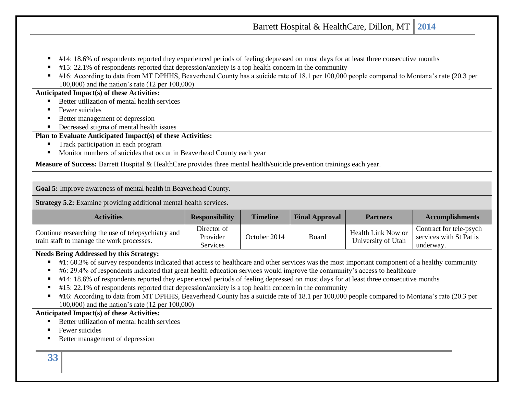- $\pm$  414: 18.6% of respondents reported they experienced periods of feeling depressed on most days for at least three consecutive months
- $\blacksquare$  #15: 22.1% of respondents reported that depression/anxiety is a top health concern in the community
- #16: According to data from MT DPHHS, Beaverhead County has a suicide rate of 18.1 per 100,000 people compared to Montana's rate (20.3 per 100,000) and the nation's rate (12 per 100,000)

#### **Anticipated Impact(s) of these Activities:**

- Better utilization of mental health services
- Fewer suicides
- Better management of depression
- Decreased stigma of mental health issues

### **Plan to Evaluate Anticipated Impact(s) of these Activities:**

- Track participation in each program
- Monitor numbers of suicides that occur in Beaverhead County each year

**Measure of Success:** Barrett Hospital & HealthCare provides three mental health/suicide prevention trainings each year.

**Goal 5:** Improve awareness of mental health in Beaverhead County.

**Strategy 5.2:** Examine providing additional mental health services.

| <b>Activities</b>                                                                               | <b>Responsibility</b>               | <b>Timeline</b> | <b>Final Approval</b> | <b>Partners</b>                          | <b>Accomplishments</b>                                          |
|-------------------------------------------------------------------------------------------------|-------------------------------------|-----------------|-----------------------|------------------------------------------|-----------------------------------------------------------------|
| Continue researching the use of telepsychiatry and<br>train staff to manage the work processes. | Director of<br>Provider<br>Services | October 2014    | Board                 | Health Link Now or<br>University of Utah | Contract for tele-psych<br>services with St Pat is<br>underway. |

#### **Needs Being Addressed by this Strategy:**

- #1: 60.3% of survey respondents indicated that access to healthcare and other services was the most important component of a healthy community
- $\bullet$  #6: 29.4% of respondents indicated that great health education services would improve the community's access to healthcare
- #14: 18.6% of respondents reported they experienced periods of feeling depressed on most days for at least three consecutive months
- #15: 22.1% of respondents reported that depression/anxiety is a top health concern in the community
- #16: According to data from MT DPHHS, Beaverhead County has a suicide rate of 18.1 per 100,000 people compared to Montana's rate (20.3 per 100,000) and the nation's rate (12 per 100,000)

#### **Anticipated Impact(s) of these Activities:**

- Better utilization of mental health services
- **Fewer suicides**
- Better management of depression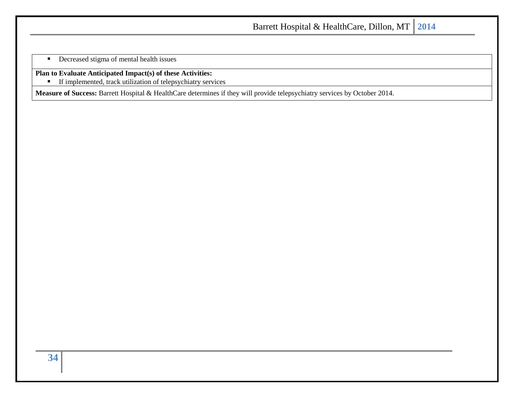**•** Decreased stigma of mental health issues

**Plan to Evaluate Anticipated Impact(s) of these Activities:**

**■** If implemented, track utilization of telepsychiatry services

**Measure of Success:** Barrett Hospital & HealthCare determines if they will provide telepsychiatry services by October 2014.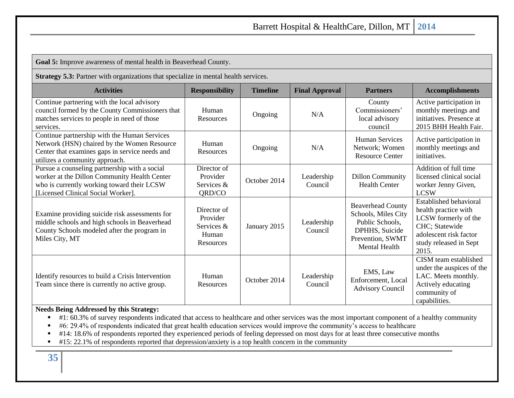**Goal 5:** Improve awareness of mental health in Beaverhead County.

**Strategy 5.3:** Partner with organizations that specialize in mental health services.

| <b>Activities</b>                                                                                                                                                                 | <b>Responsibility</b>                                       | <b>Timeline</b> | <b>Final Approval</b> | <b>Partners</b>                                                                                                           | <b>Accomplishments</b>                                                                                                                                       |
|-----------------------------------------------------------------------------------------------------------------------------------------------------------------------------------|-------------------------------------------------------------|-----------------|-----------------------|---------------------------------------------------------------------------------------------------------------------------|--------------------------------------------------------------------------------------------------------------------------------------------------------------|
| Continue partnering with the local advisory<br>council formed by the County Commissioners that<br>matches services to people in need of those<br>services.                        | Human<br>Resources                                          | Ongoing         | N/A                   | County<br>Commissioners'<br>local advisory<br>council                                                                     | Active participation in<br>monthly meetings and<br>initiatives. Presence at<br>2015 BHH Health Fair.                                                         |
| Continue partnership with the Human Services<br>Network (HSN) chaired by the Women Resource<br>Center that examines gaps in service needs and<br>utilizes a community approach.   | Human<br>Resources                                          | Ongoing         | N/A                   | <b>Human Services</b><br>Network; Women<br><b>Resource Center</b>                                                         | Active participation in<br>monthly meetings and<br>initiatives.                                                                                              |
| Pursue a counseling partnership with a social<br>worker at the Dillon Community Health Center<br>who is currently working toward their LCSW<br>[Licensed Clinical Social Worker]. | Director of<br>Provider<br>Services &<br>QRD/CO             | October 2014    | Leadership<br>Council | <b>Dillon Community</b><br><b>Health Center</b>                                                                           | Addition of full time<br>licensed clinical social<br>worker Jenny Given,<br><b>LCSW</b>                                                                      |
| Examine providing suicide risk assessments for<br>middle schools and high schools in Beaverhead<br>County Schools modeled after the program in<br>Miles City, MT                  | Director of<br>Provider<br>Services &<br>Human<br>Resources | January 2015    | Leadership<br>Council | <b>Beaverhead County</b><br>Schools, Miles City<br>Public Schools.<br>DPHHS, Suicide<br>Prevention, SWMT<br>Mental Health | <b>Established behavioral</b><br>health practice with<br>LCSW formerly of the<br>CHC; Statewide<br>adolescent risk factor<br>study released in Sept<br>2015. |
| Identify resources to build a Crisis Intervention<br>Team since there is currently no active group.                                                                               | Human<br>Resources                                          | October 2014    | Leadership<br>Council | EMS, Law<br>Enforcement, Local<br><b>Advisory Council</b>                                                                 | CISM team established<br>under the auspices of the<br>LAC. Meets monthly.<br>Actively educating<br>community of<br>capabilities.                             |

### **Needs Being Addressed by this Strategy:**

- #1: 60.3% of survey respondents indicated that access to healthcare and other services was the most important component of a healthy community
- #6: 29.4% of respondents indicated that great health education services would improve the community's access to healthcare
- #14: 18.6% of respondents reported they experienced periods of feeling depressed on most days for at least three consecutive months
- #15: 22.1% of respondents reported that depression/anxiety is a top health concern in the community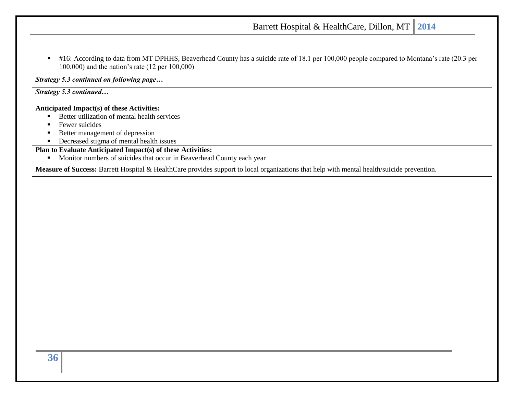■ #16: According to data from MT DPHHS, Beaverhead County has a suicide rate of 18.1 per 100,000 people compared to Montana's rate (20.3 per 100,000) and the nation's rate (12 per 100,000)

*Strategy 5.3 continued on following page…*

*Strategy 5.3 continued…*

#### **Anticipated Impact(s) of these Activities:**

- Better utilization of mental health services
- **EXECUTE:** Fewer suicides
- Better management of depression
- **•** Decreased stigma of mental health issues

### **Plan to Evaluate Anticipated Impact(s) of these Activities:**

■ Monitor numbers of suicides that occur in Beaverhead County each year

**Measure of Success:** Barrett Hospital & HealthCare provides support to local organizations that help with mental health/suicide prevention.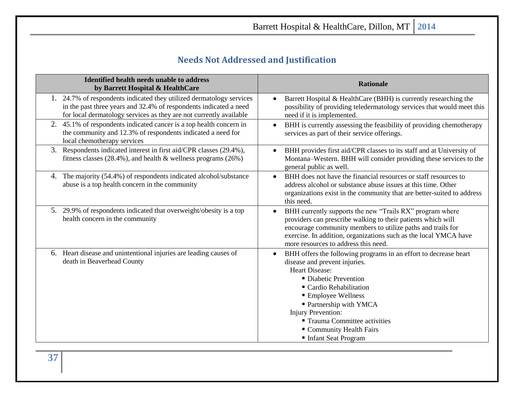# **Needs Not Addressed and Justification**

<span id="page-36-0"></span>

| <b>Identified health needs unable to address</b><br>by Barrett Hospital & HealthCare                                                                                                                            | <b>Rationale</b>                                                                                                                                                                                                                                                                                                                                                  |
|-----------------------------------------------------------------------------------------------------------------------------------------------------------------------------------------------------------------|-------------------------------------------------------------------------------------------------------------------------------------------------------------------------------------------------------------------------------------------------------------------------------------------------------------------------------------------------------------------|
| 1. 24.7% of respondents indicated they utilized dermatology services<br>in the past three years and 32.4% of respondents indicated a need<br>for local dermatology services as they are not currently available | Barrett Hospital & HealthCare (BHH) is currently researching the<br>possibility of providing teledermatology services that would meet this<br>need if it is implemented.                                                                                                                                                                                          |
| 45.1% of respondents indicated cancer is a top health concern in<br>the community and 12.3% of respondents indicated a need for<br>local chemotherapy services                                                  | BHH is currently assessing the feasibility of providing chemotherapy<br>services as part of their service offerings.                                                                                                                                                                                                                                              |
| 3. Respondents indicated interest in first aid/CPR classes (29.4%),<br>fitness classes $(28.4\%)$ , and health & wellness programs $(26\%)$                                                                     | BHH provides first aid/CPR classes to its staff and at University of<br>Montana-Western. BHH will consider providing these services to the<br>general public as well.                                                                                                                                                                                             |
| 4. The majority (54.4%) of respondents indicated alcohol/substance<br>abuse is a top health concern in the community                                                                                            | BHH does not have the financial resources or staff resources to<br>address alcohol or substance abuse issues at this time. Other<br>organizations exist in the community that are better-suited to address<br>this need.                                                                                                                                          |
| 5. 29.9% of respondents indicated that overweight/obesity is a top<br>health concern in the community                                                                                                           | BHH currently supports the new "Trails RX" program where<br>providers can prescribe walking to their patients which will<br>encourage community members to utilize paths and trails for<br>exercise. In addition, organizations such as the local YMCA have<br>more resources to address this need.                                                               |
| 6. Heart disease and unintentional injuries are leading causes of<br>death in Beaverhead County                                                                                                                 | BHH offers the following programs in an effort to decrease heart<br>$\bullet$<br>disease and prevent injuries.<br><b>Heart Disease:</b><br>• Diabetic Prevention<br>■ Cardio Rehabilitation<br><b>Employee Wellness</b><br>• Partnership with YMCA<br><b>Injury Prevention:</b><br>■ Trauma Committee activities<br>Community Health Fairs<br>Infant Seat Program |

**37**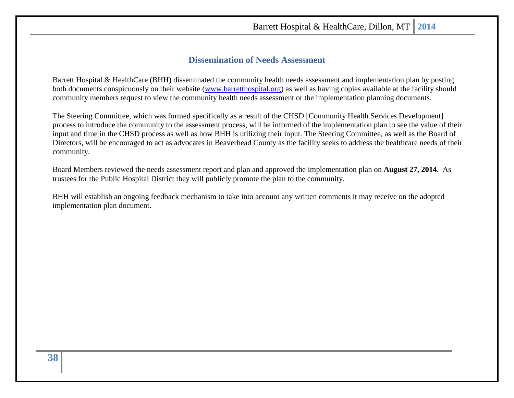### **Dissemination of Needs Assessment**

<span id="page-37-0"></span>Barrett Hospital & HealthCare (BHH) disseminated the community health needs assessment and implementation plan by posting both documents conspicuously on their website [\(www.barretthospital.org\)](http://www.barretthospital.org/) as well as having copies available at the facility should community members request to view the community health needs assessment or the implementation planning documents.

The Steering Committee, which was formed specifically as a result of the CHSD [Community Health Services Development] process to introduce the community to the assessment process, will be informed of the implementation plan to see the value of their input and time in the CHSD process as well as how BHH is utilizing their input. The Steering Committee, as well as the Board of Directors, will be encouraged to act as advocates in Beaverhead County as the facility seeks to address the healthcare needs of their community.

Board Members reviewed the needs assessment report and plan and approved the implementation plan on **August 27, 2014**. As trustees for the Public Hospital District they will publicly promote the plan to the community.

BHH will establish an ongoing feedback mechanism to take into account any written comments it may receive on the adopted implementation plan document.